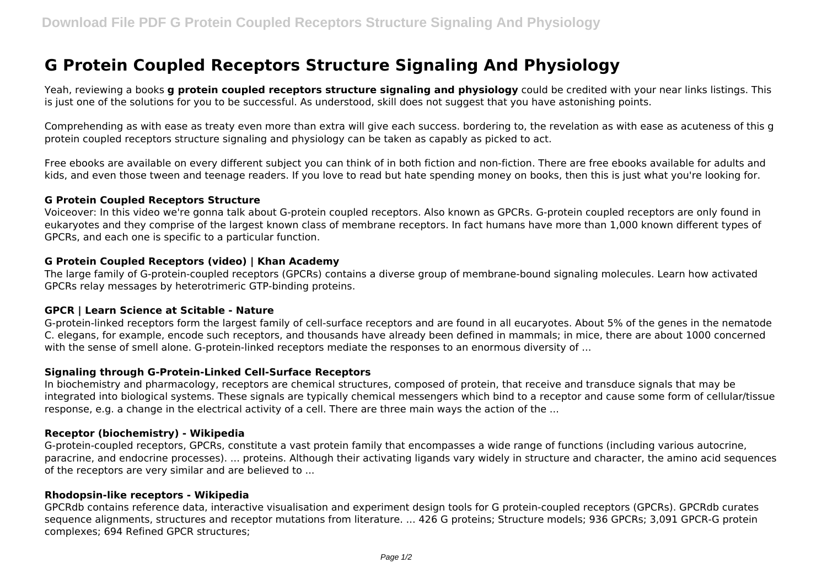# **G Protein Coupled Receptors Structure Signaling And Physiology**

Yeah, reviewing a books **g protein coupled receptors structure signaling and physiology** could be credited with your near links listings. This is just one of the solutions for you to be successful. As understood, skill does not suggest that you have astonishing points.

Comprehending as with ease as treaty even more than extra will give each success. bordering to, the revelation as with ease as acuteness of this g protein coupled receptors structure signaling and physiology can be taken as capably as picked to act.

Free ebooks are available on every different subject you can think of in both fiction and non-fiction. There are free ebooks available for adults and kids, and even those tween and teenage readers. If you love to read but hate spending money on books, then this is just what you're looking for.

#### **G Protein Coupled Receptors Structure**

Voiceover: In this video we're gonna talk about G-protein coupled receptors. Also known as GPCRs. G-protein coupled receptors are only found in eukaryotes and they comprise of the largest known class of membrane receptors. In fact humans have more than 1,000 known different types of GPCRs, and each one is specific to a particular function.

### **G Protein Coupled Receptors (video) | Khan Academy**

The large family of G-protein-coupled receptors (GPCRs) contains a diverse group of membrane-bound signaling molecules. Learn how activated GPCRs relay messages by heterotrimeric GTP-binding proteins.

### **GPCR | Learn Science at Scitable - Nature**

G-protein-linked receptors form the largest family of cell-surface receptors and are found in all eucaryotes. About 5% of the genes in the nematode C. elegans, for example, encode such receptors, and thousands have already been defined in mammals; in mice, there are about 1000 concerned with the sense of smell alone. G-protein-linked receptors mediate the responses to an enormous diversity of ...

### **Signaling through G-Protein-Linked Cell-Surface Receptors**

In biochemistry and pharmacology, receptors are chemical structures, composed of protein, that receive and transduce signals that may be integrated into biological systems. These signals are typically chemical messengers which bind to a receptor and cause some form of cellular/tissue response, e.g. a change in the electrical activity of a cell. There are three main ways the action of the ...

### **Receptor (biochemistry) - Wikipedia**

G-protein-coupled receptors, GPCRs, constitute a vast protein family that encompasses a wide range of functions (including various autocrine, paracrine, and endocrine processes). ... proteins. Although their activating ligands vary widely in structure and character, the amino acid sequences of the receptors are very similar and are believed to ...

### **Rhodopsin-like receptors - Wikipedia**

GPCRdb contains reference data, interactive visualisation and experiment design tools for G protein-coupled receptors (GPCRs). GPCRdb curates sequence alignments, structures and receptor mutations from literature. ... 426 G proteins; Structure models; 936 GPCRs; 3,091 GPCR-G protein complexes; 694 Refined GPCR structures;